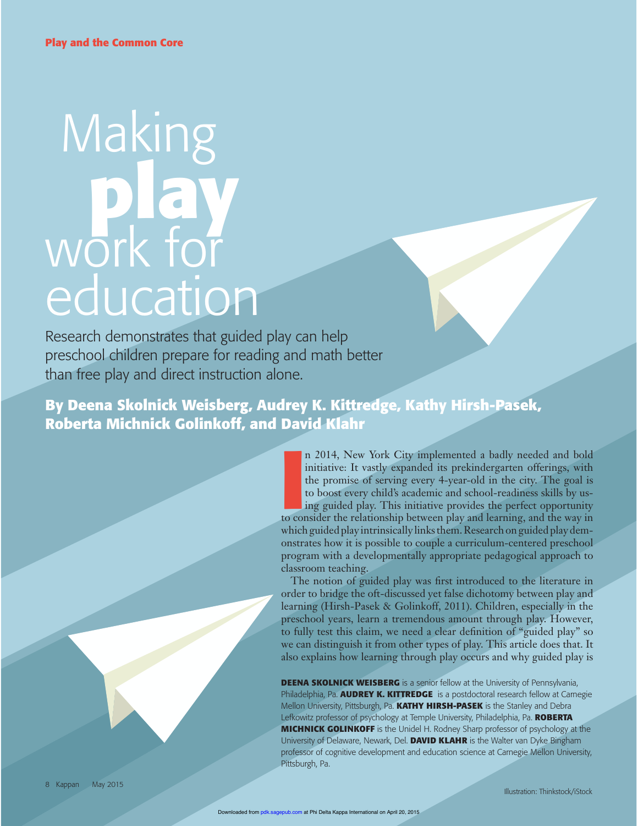# Making  **play** work for education

Research demonstrates that guided play can help preschool children prepare for reading and math better than free play and direct instruction alone.

**By Deena Skolnick Weisberg, Audrey K. Kittredge, Kathy Hirsh-Pasek, Roberta Michnick Golinkoff, and David Klahr**

> II 2014, New York City implemented a badly needed and bold initiative: It vastly expanded its prekindergarten offerings, with the promise of serving every 4-year-old in the city. The goal is to boost every child's academic n 2014, New York City implemented a badly needed and bold initiative: It vastly expanded its prekindergarten offerings, with the promise of serving every 4-year-old in the city. The goal is to boost every child's academic and school-readiness skills by using guided play. This initiative provides the perfect opportunity which guided play intrinsically links them. Research on guided play demonstrates how it is possible to couple a curriculum-centered preschool program with a developmentally appropriate pedagogical approach to classroom teaching.

> The notion of guided play was first introduced to the literature in order to bridge the oft-discussed yet false dichotomy between play and learning (Hirsh-Pasek & Golinkoff, 2011). Children, especially in the preschool years, learn a tremendous amount through play. However, to fully test this claim, we need a clear definition of "guided play" so we can distinguish it from other types of play. This article does that. It also explains how learning through play occurs and why guided play is

> **DEENA SKOLNICK WEISBERG** is a senior fellow at the University of Pennsylvania, Philadelphia, Pa. **AUDREY K. KITTREDGE** is a postdoctoral research fellow at Carnegie Mellon University, Pittsburgh, Pa. **KATHY HIRSH-PASEK** is the Stanley and Debra Lefkowitz professor of psychology at Temple University, Philadelphia, Pa. **ROBERTA MICHNICK GOLINKOFF** is the Unidel H. Rodney Sharp professor of psychology at the University of Delaware, Newark, Del. **DAVID KLAHR** is the Walter van Dyke Bingham professor of cognitive development and education science at Carnegie Mellon University, Pittsburgh, Pa.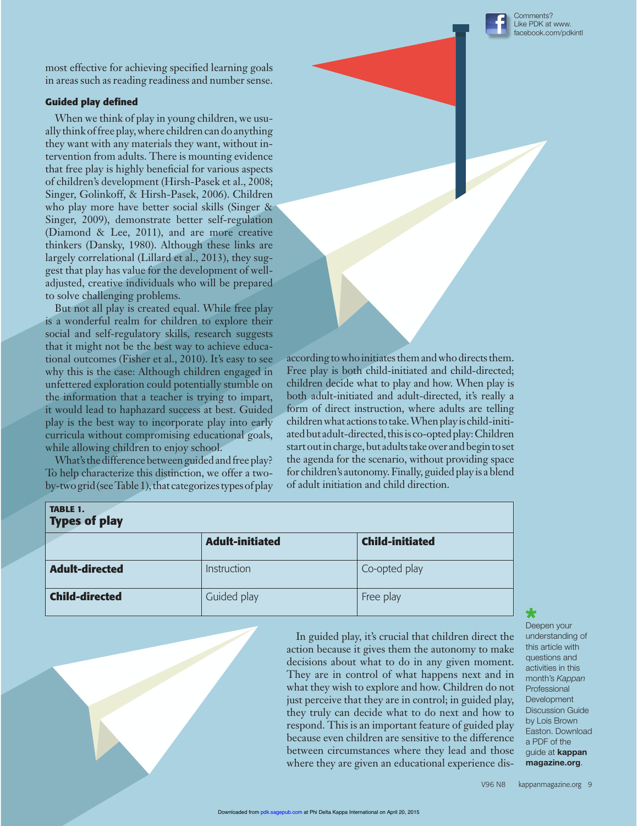

most effective for achieving specified learning goals in areas such as reading readiness and number sense.

### **Guided play defined**

When we think of play in young children, we usually think of free play, where children can do anything they want with any materials they want, without intervention from adults. There is mounting evidence that free play is highly beneficial for various aspects of children's development (Hirsh-Pasek et al., 2008; Singer, Golinkoff, & Hirsh-Pasek, 2006). Children who play more have better social skills (Singer & Singer, 2009), demonstrate better self-regulation (Diamond & Lee, 2011), and are more creative thinkers (Dansky, 1980). Although these links are largely correlational (Lillard et al., 2013), they suggest that play has value for the development of welladjusted, creative individuals who will be prepared to solve challenging problems.

But not all play is created equal. While free play is a wonderful realm for children to explore their social and self-regulatory skills, research suggests that it might not be the best way to achieve educational outcomes (Fisher et al., 2010). It's easy to see why this is the case: Although children engaged in unfettered exploration could potentially stumble on the information that a teacher is trying to impart, it would lead to haphazard success at best. Guided play is the best way to incorporate play into early curricula without compromising educational goals, while allowing children to enjoy school.

What's the difference between guided and free play? To help characterize this distinction, we offer a twoby-two grid (see Table 1), that categorizes types of play according to who initiates them and who directs them. Free play is both child-initiated and child-directed; children decide what to play and how. When play is both adult-initiated and adult-directed, it's really a form of direct instruction, where adults are telling children what actions to take. When play is child-initiated but adult-directed, this is co-opted play: Children start out in charge, but adults take over and begin to set the agenda for the scenario, without providing space for children's autonomy. Finally, guided play is a blend of adult initiation and child direction.

| <b>TABLE 1.</b><br><b>Types of play</b> |                        |                        |
|-----------------------------------------|------------------------|------------------------|
|                                         | <b>Adult-initiated</b> | <b>Child-initiated</b> |
| <b>Adult-directed</b>                   | Instruction            | Co-opted play          |
| <b>Child-directed</b>                   | Guided play            | Free play              |

In guided play, it's crucial that children direct the action because it gives them the autonomy to make decisions about what to do in any given moment. They are in control of what happens next and in what they wish to explore and how. Children do not just perceive that they are in control; in guided play, they truly can decide what to do next and how to respond. This is an important feature of guided play because even children are sensitive to the difference between circumstances where they lead and those where they are given an educational experience dis-

Deepen your understanding of this article with questions and activities in this month's *Kappan* Professional Development Discussion Guide by Lois Brown Easton. Download a PDF of the guide at **kappan magazine.org**.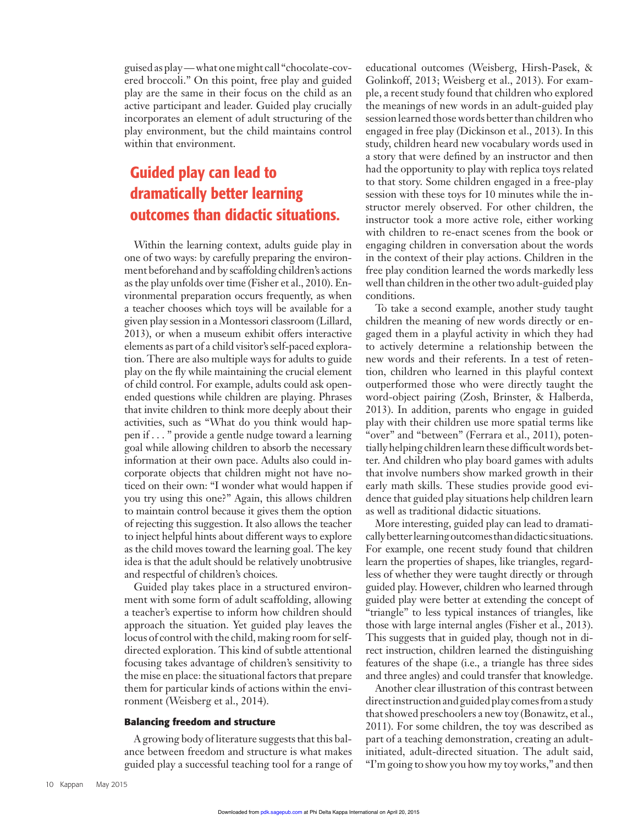guised as play — what one might call "chocolate-covered broccoli." On this point, free play and guided play are the same in their focus on the child as an active participant and leader. Guided play crucially incorporates an element of adult structuring of the play environment, but the child maintains control within that environment.

## Guided play can lead to dramatically better learning outcomes than didactic situations.

Within the learning context, adults guide play in one of two ways: by carefully preparing the environment beforehand and by scaffolding children's actions as the play unfolds over time (Fisher et al., 2010). Environmental preparation occurs frequently, as when a teacher chooses which toys will be available for a given play session in a Montessori classroom (Lillard, 2013), or when a museum exhibit offers interactive elements as part of a child visitor's self-paced exploration. There are also multiple ways for adults to guide play on the fly while maintaining the crucial element of child control. For example, adults could ask openended questions while children are playing. Phrases that invite children to think more deeply about their activities, such as "What do you think would happen if . . . " provide a gentle nudge toward a learning goal while allowing children to absorb the necessary information at their own pace. Adults also could incorporate objects that children might not have noticed on their own: "I wonder what would happen if you try using this one?" Again, this allows children to maintain control because it gives them the option of rejecting this suggestion. It also allows the teacher to inject helpful hints about different ways to explore as the child moves toward the learning goal. The key idea is that the adult should be relatively unobtrusive and respectful of children's choices.

Guided play takes place in a structured environment with some form of adult scaffolding, allowing a teacher's expertise to inform how children should approach the situation. Yet guided play leaves the locus of control with the child, making room for selfdirected exploration. This kind of subtle attentional focusing takes advantage of children's sensitivity to the mise en place: the situational factors that prepare them for particular kinds of actions within the environment (Weisberg et al., 2014).

#### **Balancing freedom and structure**

A growing body of literature suggests that this balance between freedom and structure is what makes guided play a successful teaching tool for a range of educational outcomes (Weisberg, Hirsh-Pasek, & Golinkoff, 2013; Weisberg et al., 2013). For example, a recent study found that children who explored the meanings of new words in an adult-guided play session learned those words better than children who engaged in free play (Dickinson et al., 2013). In this study, children heard new vocabulary words used in a story that were defined by an instructor and then had the opportunity to play with replica toys related to that story. Some children engaged in a free-play session with these toys for 10 minutes while the instructor merely observed. For other children, the instructor took a more active role, either working with children to re-enact scenes from the book or engaging children in conversation about the words in the context of their play actions. Children in the free play condition learned the words markedly less well than children in the other two adult-guided play conditions.

To take a second example, another study taught children the meaning of new words directly or engaged them in a playful activity in which they had to actively determine a relationship between the new words and their referents. In a test of retention, children who learned in this playful context outperformed those who were directly taught the word-object pairing (Zosh, Brinster, & Halberda, 2013). In addition, parents who engage in guided play with their children use more spatial terms like "over" and "between" (Ferrara et al., 2011), potentially helping children learn these difficult words better. And children who play board games with adults that involve numbers show marked growth in their early math skills. These studies provide good evidence that guided play situations help children learn as well as traditional didactic situations.

More interesting, guided play can lead to dramatically better learning outcomes than didactic situations. For example, one recent study found that children learn the properties of shapes, like triangles, regardless of whether they were taught directly or through guided play. However, children who learned through guided play were better at extending the concept of "triangle" to less typical instances of triangles, like those with large internal angles (Fisher et al., 2013). This suggests that in guided play, though not in direct instruction, children learned the distinguishing features of the shape (i.e., a triangle has three sides and three angles) and could transfer that knowledge.

Another clear illustration of this contrast between direct instruction and guided play comes from a study that showed preschoolers a new toy (Bonawitz, et al., 2011). For some children, the toy was described as part of a teaching demonstration, creating an adultinitiated, adult-directed situation. The adult said, "I'm going to show you how my toy works," and then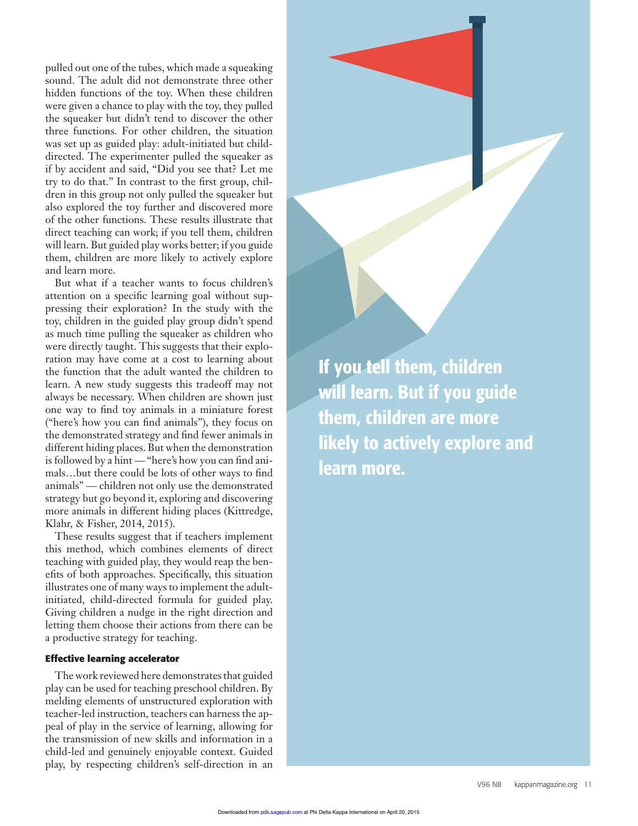pulled out one of the tubes, which made a squeaking sound. The adult did not demonstrate three other hidden functions of the toy. When these children were given a chance to play with the toy, they pulled the squeaker but didn't tend to discover the other three functions. For other children, the situation was set up as guided play: adult-initiated but childdirected. The experimenter pulled the squeaker as if by accident and said, "Did you see that? Let me try to do that." In contrast to the first group, children in this group not only pulled the squeaker but also explored the toy further and discovered more of the other functions. These results illustrate that direct teaching can work; if you tell them, children will learn. But guided play works better; if you guide them, children are more likely to actively explore and learn more.

But what if a teacher wants to focus children's attention on a specific learning goal without suppressing their exploration? In the study with the toy, children in the guided play group didn't spend as much time pulling the squeaker as children who were directly taught. This suggests that their exploration may have come at a cost to learning about the function that the adult wanted the children to learn. A new study suggests this tradeoff may not always be necessary. When children are shown just one way to find toy animals in a miniature forest ("here's how you can find animals"), they focus on the demonstrated strategy and find fewer animals in different hiding places. But when the demonstration is followed by a hint — "here's how you can find animals...but there could be lots of other ways to find animals" — children not only use the demonstrated strategy but go beyond it, exploring and discovering more animals in different hiding places (Kittredge, Klahr, & Fisher, 2014, 2015).

These results suggest that if teachers implement this method, which combines elements of direct teaching with guided play, they would reap the benefits of both approaches. Specifically, this situation illustrates one of many ways to implement the adultinitiated, child-directed formula for guided play. Giving children a nudge in the right direction and letting them choose their actions from there can be a productive strategy for teaching.

#### **Effective learning accelerator**

The work reviewed here demonstrates that guided play can be used for teaching preschool children. By melding elements of unstructured exploration with teacher-led instruction, teachers can harness the appeal of play in the service of learning, allowing for the transmission of new skills and information in a child-led and genuinely enjoyable context. Guided play, by respecting children's self-direction in an

If you tell them, children will learn. But if you guide them, children are more likely to actively explore and learn more.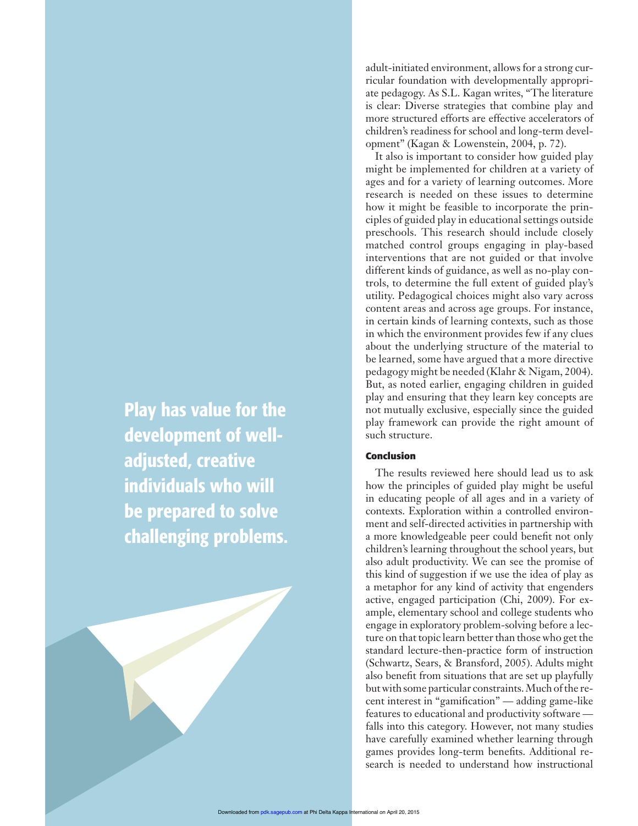Play has value for the development of welladjusted, creative individuals who will be prepared to solve challenging problems. adult-initiated environment, allows for a strong curricular foundation with developmentally appropriate pedagogy. As S.L. Kagan writes, "The literature is clear: Diverse strategies that combine play and more structured efforts are effective accelerators of children's readiness for school and long-term development" (Kagan & Lowenstein, 2004, p. 72).

It also is important to consider how guided play might be implemented for children at a variety of ages and for a variety of learning outcomes. More research is needed on these issues to determine how it might be feasible to incorporate the principles of guided play in educational settings outside preschools. This research should include closely matched control groups engaging in play-based interventions that are not guided or that involve different kinds of guidance, as well as no-play controls, to determine the full extent of guided play's utility. Pedagogical choices might also vary across content areas and across age groups. For instance, in certain kinds of learning contexts, such as those in which the environment provides few if any clues about the underlying structure of the material to be learned, some have argued that a more directive pedagogy might be needed (Klahr & Nigam, 2004). But, as noted earlier, engaging children in guided play and ensuring that they learn key concepts are not mutually exclusive, especially since the guided play framework can provide the right amount of such structure.

#### **Conclusion**

The results reviewed here should lead us to ask how the principles of guided play might be useful in educating people of all ages and in a variety of contexts. Exploration within a controlled environment and self-directed activities in partnership with a more knowledgeable peer could benefit not only children's learning throughout the school years, but also adult productivity. We can see the promise of this kind of suggestion if we use the idea of play as a metaphor for any kind of activity that engenders active, engaged participation (Chi, 2009). For example, elementary school and college students who engage in exploratory problem-solving before a lecture on that topic learn better than those who get the standard lecture-then-practice form of instruction (Schwartz, Sears, & Bransford, 2005). Adults might also benefit from situations that are set up playfully but with some particular constraints. Much of the recent interest in "gamification" — adding game-like features to educational and productivity software falls into this category. However, not many studies have carefully examined whether learning through games provides long-term benefits. Additional research is needed to understand how instructional